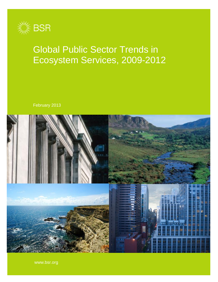

# Global Public Sector Trends in Ecosystem Services, 2009-2012

February 2013



www.bsr.org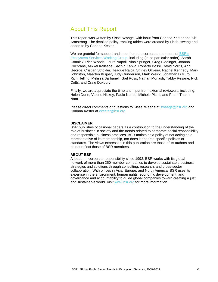# About This Report

This report was written by Sissel Waage, with input from Corinna Kester and Kit Armstrong. The detailed policy-tracking tables were created by Linda Hwang and added to by Corinna Kester.

We are grateful for support and input from the corporate members of BSR's [Ecosystem Services Working Group,](http://www.bsr.org/en/our-work/working-groups/ecosystem-services-tools-markets) including (in no particular order): Sarah Connick, Rich Woods, Laura Napoli, Nina Springer, Greg Biddinger, Joanna Cochrane, Mikkel Kallesoe, Sachin Kapila, Roberto Bossi, David Norris, Ann George, Cristian Strickler, Teague Raica, Shirley Oliveira, Rachel Kennedy, Mark Johnston, Maarten Kuijper, Judy Gunderson, Mark Weick, Jonathan DiMuro, Rich Helling, Melissa Barbanell, Gail Ross, Nathan Monash, Tabby Resane, Nick Cotts, and Craig Duxbury.

Finally, we are appreciate the time and input from external reviewers, including: Helen Dunn, Valerie Hickey, Paulo Nunes, Michele Pittini, and Pham Thanh Nam.

Please direct comments or questions to Sissel Waage at [swaage@bsr.org](mailto:swaage@bsr.org) and Corinna Kester at [ckester@bsr.org.](mailto:ckester@bsr.org)

### **DISCLAIMER**

BSR publishes occasional papers as a contribution to the understanding of the role of business in society and the trends related to corporate social responsibility and responsible business practices. BSR maintains a policy of not acting as a representative of its membership, nor does it endorse specific policies or standards. The views expressed in this publication are those of its authors and do not reflect those of BSR members.

### **ABOUT BSR**

A leader in corporate responsibility since 1992, BSR works with its global network of more than [250 member companies](http://10.0.0.99/membership/index.cfm) to develop sustainable business strategies and solutions through [consulting,](http://10.0.0.99/consulting/index.cfm) [research,](http://10.0.0.99/research/index.cfm) and cross-sector collaboration. With offices in Asia, Europe, and North America, BSR uses its expertise in the environment, human rights, economic development, and governance and accountability to guide global companies toward creating a just and sustainable world. Visit [www.bsr.org](http://www.bsr.org/) for more information.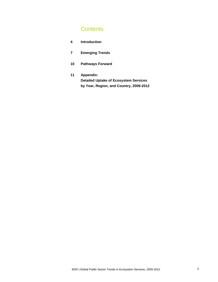# **Contents**

| 4 | <b>Introduction</b> |
|---|---------------------|
|   |                     |

- **7 Emerging Trends**
- **10 Pathways Forward**
- **11 Appendix: Detailed Uptake of Ecosystem Services by Year, Region, and Country, 2009-2012**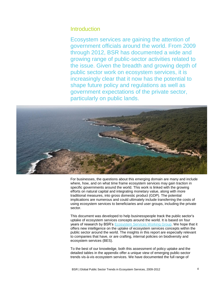### **Introduction**

Ecosystem services are gaining the attention of government officials around the world. From 2009 through 2012, BSR has documented a wide and growing range of public-sector activities related to the issue. Given the breadth and growing depth of public sector work on ecosystem services, it is increasingly clear that it now has the potential to shape future policy and regulations as well as government expectations of the private sector, particularly on public lands.



For businesses, the questions about this emerging domain are many and include where, how, and on what time frame ecosystem services may gain traction in specific governments around the world. This work is linked with the growing efforts on natural capital and integrating monetary value, along with more traditional measures, into gross domestic product (GDP). The potential implications are numerous and could ultimately include transferring the costs of using ecosystem services to beneficiaries and user groups, including the private sector.

This document was developed to help businesspeople track the public sector's uptake of ecosystem services concepts around the world. It is based on four years of research by BSR's [Ecosystem Services Working Group.](https://www.bsr.org/en/our-work/working-groups/ecosystem-services-tools-markets) We hope that it offers new intelligence on the uptake of ecosystem services concepts within the public sector around the world. The insights in this report are especially relevant to companies that have, or are crafting, internal policies on biodiversity and ecosystem services (BES).

To the best of our knowledge, both this assessment of policy uptake and the detailed tables in the appendix offer a unique view of emerging public-sector trends vis-à-vis ecosystem services. We have documented the full range of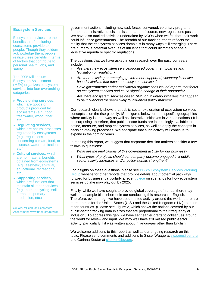### **Ecosystem Services**

Ecosystem services are the benefits that functioning ecosystems provide to people. Though they seldom acknowledge them, people realize these benefits in terms of factors that contribute to personal health, jobs, and safety.

The 2005 Millennium Ecosystem Assessment (MEA) organizes ecosystem services into four overarching categories:

- » **Provisioning services,** which are goods or products produced by ecosystems (e.g., food, freshwater, wood, fiber, etc.)
- » **Regulating services,** which are natural processes regulated by ecosystems (e.g., regulations concerning climate, food, or disease; water purification; etc.)
- » **Cultural services,** which are nonmaterial benefits obtained from ecosystems (e.g., aesthetic, spiritual, educational, recreational, etc.)
- » **Supporting services,** which are functions that maintain all other services (e.g., nutrient cycling, soil formation, primary production, etc.)

*Source:* Millennium Ecosystem Assessment[, www.unep.org/maweb.](http://www.unep.org/maweb/en/index.aspx) government action, including new task forces convened, voluntary programs formed, administrative decisions issued, and, of course, new regulations passed. We have also tracked activities undertaken by NGOs when we felt that their work could influence governments. The breadth of our tracking efforts reflects the reality that the ecosystem services domain is in many ways still emerging. There are numerous potential avenues of influence that could ultimately shape a legislative agenda or specific regulations.

The questions that we have asked in our research over the past four years include:

- » *Are there new ecosystem services-focused government policies and legislation or regulation?*
- » *Are there existing or emerging government-supported, voluntary incentivebased initiatives that focus on ecosystem services?*
- » *Have governments and/or multilateral organizations issued reports that focus on ecosystem services and could signal a change in their approach?*
- » *Are there ecosystem services-based NGO or voluntary initiatives that appear to be influencing (or seem likely to influence) policy makers?*

Our research clearly shows that public-sector exploration of ecosystem services concepts is on the rise globally. (See figures below for both specific geographies where activity is underway as well as illustrative initiatives in various nations.) It is not surprising, therefore, that public-sector funds are increasingly available to define, measure, and map ecosystem services, as well as apply the concepts in decision-making processes. We anticipate that such activity will continue to expand in the coming years.

In reading this report, we suggest that corporate decision makers consider a few follow-up questions:

- » *What are the implications of this government activity for our business?*
- » *What types of projects should our company become engaged in if publicsector activity increases and/or policy signals strengthen?*

For insights on these questions, please see [BSR's Ecosystem Services Working](http://www.bsr.org/en/our-work/working-groups/ecosystem-services-tools-markets)  [Group](http://www.bsr.org/en/our-work/working-groups/ecosystem-services-tools-markets) website for other reports that provide details about potential pathways forward for business, particularly a recent [piece](http://www.bsr.org/en/our-insights/bsr-insight-article/environmental-performance-2.0-how-will-ecosystem-services-affect-corporate) on scenarios for how ecosystem services uptake may play out by 2025.

Finally, while we have sought to provide global coverage of trends, there may well be a sample bias inherent in our conducting this research in English. Therefore, even though we have documented activity around the world, there are more entries for the United States (U.S.) and the United Kingdom (U.K.) than for other countries. (Please see Figure 2, which shows the nations covered by our public-sector tracking data in sizes that are proportional to their frequency of inclusion.) To address this gap, we have sent earlier drafts to colleagues around the world for review and input. We may well have still missed public-sector activity, particularly if it was written about in languages other than English.

We welcome additions to this report as well as our ongoing research on this topic. Please send comments and additions to Sissel Waage at [swaage@bsr.org](mailto:swaage@bsr.org) and Corinna Kester at [ckester@bsr.org.](mailto:ckester@bsr.org)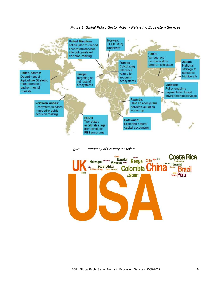

### *Figure 1. Global Public-Sector Activity Related to Ecosystem Services*

*Figure 2. Frequency of Country Inclusion*

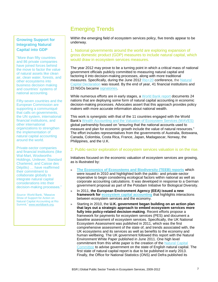# Emerging Trends

### **Growing Support for Integrating Natural Capital into GDP**

"More than fifty countries and 86 private companies have joined forces behind the move to factor the value of natural assets like clean air, clean water, forests, and other ecosystems into business decision making and countries' systems of national accounting.

Fifty-seven countries and the European Commission are supporting a communiqué that calls on governments, the UN system, international financial institutions, and other international organizations to strengthen the implementation of natural capital accounting around the world.

Private-sector companies and financial institutions (like Wal-Mart, Woolworths Holdings, Unilever, Standard Chartered, and Caisse des Dépôts) … have reaffirmed their commitment to collaborate globally to integrate natural capital considerations into their decision-making processes."

*Source:* World Bank, "Massive Show of Support for Action on Natural Capital Accounting at Rio Summit," [www.worldbank.org.](http://www.worldbank.org/en/news/2012/06/20/massive-show-support-action-natural-capital-accounting-rio-summit.)

Within the emerging field of ecosystem services policy, five trends appear to be underway.

1. National governments around the world are exploring expansion of gross domestic product (GDP) measures to include natural capital, which would draw in ecosystem services measures.

The year 2012 may prove to be a turning point in which a critical mass of national government officials publicly committed to measuring natural capital and factoring it into decision-making processes, along with more traditional measures. Specifically, during the June 2012 [Rio+20](http://www.uncsd2012.org/) conference, the Natural [Capital Declaration](http://www.naturalcapitaldeclaration.org/) was issued. By the end of year, 41 financial institutions and 23 NGOs became [signatories.](http://www.naturalcapitaldeclaration.org/category/signatories/)

While numerous efforts are in early stages, a [World Bank report](http://www.wavespartnership.org/waves/sites/waves/files/images/Moving_Beyond_GDP.pdf) documents 24 nations that are deploying some form of natural capital accounting in economic decision-making processes. Advocates assert that this approach provides policy makers with more accurate information about national wealth.

This work is synergistic with that of the 11 countries engaged with the World Bank's [Wealth Accounting and the Valuation of Ecosystem Services \(WAVES\)](http://www.wavespartnership.org/waves/) global partnership focused on "ensuring that the national accounts used to measure and plan for economic growth include the value of natural resources." The effort includes representatives from the governments of Australia, Botswana, Canada, Colombia, Costa Rica, France, Japan, Madagascar, Norway, the Philippines, and the U.K.

### 2. Public-sector exploration of ecosystem services valuation is on the rise.

Initiatives focused on the economic valuation of ecosystem services are growing, as is illustrated by:

- » **[The Economics of Ecosystems and Biodiversity \(TEEB\) reports](http://www.teebweb.org/publications/)** which were issued in 2010 and highlighted both the public- and private-sector imperative to begin considering ecological factors within national as well as corporate accounting calculations. It was developed in response to a German government proposal as part of the Potsdam Initiative for Biological Diversity.
- » In 2011, **the European Environment Agency (EEA) issued a new framework for [ecosystem capital accounting](http://www.eea.europa.eu/publications/an-experimental-framework-for-ecosystem)** that highlights interactions between ecosystem services and the economy.
- » Starting in 2010, the **U.K. government began building on an action plan that lays out a strategic approach to embed ecosystem services more fully into policy-related decision-making**. Recent efforts propose a framework for payments for ecosystem services (PES) and document a baseline assessment of ecosystem services. Specifically, the UK National Ecosystem Assessment was published in 2011, which was the first comprehensive assessment of the state of, and trends associated with, the UK ecosystems and its services as well as benefits to the economy and human wellbeing. The UK government followed this report with the Natural Environment White Paper published in June 2011. One high level commitment from this white paper is the creation of the [Natural Capital](http://www.defra.gov.uk/naturalcapitalcommittee/)  [Committee](http://www.defra.gov.uk/naturalcapitalcommittee/) to advise government on the state of English natural capital. The first state of natural capital report is due to be published in early 2013. Finally, the Office for National Statistics (ONS) and Defra published its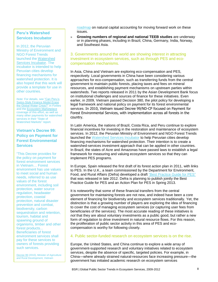### **Peru's Watershed Services Incubator**

In 2012, the Peruvian Ministry of Environment and NGO Forest Trends launched the [Watershed](http://www.forbes.com/sites/stevezwick/2012/05/09/can-perus-swiss-style-mountaintop-finance-ease-the-global-water-crisis/)  [Services Incubator.](http://www.forbes.com/sites/stevezwick/2012/05/09/can-perus-swiss-style-mountaintop-finance-ease-the-global-water-crisis/) The incubator is intended to help Peruvian cities develop financing mechanisms for watershed protection. It is also hoped that this work will provide a template for use in other countries.

*Note:* For details, see "Can Peru's [Swiss-Style Finance Model Erase](http://www.forbes.com/sites/stevezwick/2012/05/09/can-perus-swiss-style-mountaintop-finance-ease-the-global-water-crisis/)  [the Global Water Crisis?"](http://www.forbes.com/sites/stevezwick/2012/05/09/can-perus-swiss-style-mountaintop-finance-ease-the-global-water-crisis/) in *Forbes* and th[e Ecosystem Marketplace](http://www.ecosystemmarketplace.com/) coverage of this effort, as well as many other payments for watershed services in their "State of Watershed Markets" report.

### **Vietnam's Decree 99: Policy on Payment for Forest Environmental Services**

"This Decree provides for the policy on payment for forest environment services in Vietnam… Forest environment has use values to meet social and human needs, referred to as use values of the forest environment, including soil protection, water source regulation, headwater protection, coastal protection, natural disaster prevention and combat, biodiversity, carbon sequestration and retention, tourism, habitat and spawning ground of organisms, timber and other forest products... Beneficiaries of forest environment services shall pay for these services to owners of forests providing such services.

[Decree 99](http://vietnam-redd.org/Upload/CMS/Content/Library-GovernmentDocuments/99-2010-ND-CP.pdf) (2010), Minister of Agriculture and Rural Development, Vietnam

[roadmap](http://www.ons.gov.uk/ons/about-ons/user-engagement/consultations-and-surveys/archived-consultations/2012/accounting-for-the-value-of-nature-in-the-uk/index.html) on natural capital accounting for moving forward work on these issues.

» **Growing numbers of regional and national TEEB studies** are underway or in planning phases, including in Brazil, China, Germany, India, Norway, and Southeast Asia.

### 3. Governments around the world are showing interest in attracting investment in ecosystem services, such as through PES and ecocompensation mechanisms.

In Asia, China and Vietnam are exploring eco-compensation and PES, respectively. Local governments in China have been considering various approaches for eco-compensation, such as transferring funds from the central government to maintain public forests, placing taxes and fees on mineral resources, and establishing payment mechanisms on upstream parties within watersheds. Two reports released in 2011 by the Asian Development Bank focus on institutional challenges and sources of finance for these initiatives. Even earlier, in 2009, Vietnam passed Decision 380, the pilot policy for developing a legal framework and national policy on payment for its forest environmental services. In 2010, Vietnam issued Decree 99/ND-CP focused on Payment for Forest Environmental Services, with implementation across all forests in the country.

In Latin America, the nations of Brazil, Costa Rica, and Peru continue to explore financial incentives for investing in the restoration and maintenance of ecosystem services. In 2012, the Peruvian Ministry of Environment and NGO Forest Trends launched the [Watershed Services Incubator](http://www.forbes.com/sites/stevezwick/2012/05/09/can-perus-swiss-style-mountaintop-finance-ease-the-global-water-crisis/) to help Peruvian cities develop financing mechanisms for watershed protection. Their intention is to create a watershed-services investment approach that can be applied in other countries. In Brazil, the states of Acre and Amazonas have passed laws to establish a legal framework for measuring and valuing ecosystem services so that they can implement PES programs.

In Europe, Spain released the first draft of its forest action plan in 2011, with links to PES. In the U.K., a team commissioned by the Department for Environment, Food, and Rural Affairs (Defra) developed a draft ["Best Practice Guide for PES"](http://ekn.defra.gov.uk/2012/09/01/payments-for-ecosystem-services-best-practice-guide/) that was released in late 2012. Defra is planning to publish jointly the Best Practice Guide for PES and an Action Plan for PES in Spring 2013.

It is noteworthy that some of these financial transfers from the central government for maintaining forests are not new, and indeed have been a core element of financing for biodiversity and ecosystem services traditionally. Yet, the distinction is that a growing number of players are exploring the idea of financing to cover the cost of managing ecosystem services (or capturing user fees from beneficiaries of the services). The most accurate reading of these initiatives is *not* that they are about voluntary investments as a public good, but rather a new form of regulation to drive investment in natural resource flows. For this reason, the proliferation of public sector activity in this area of PES and ecocompensation is worthy for following closely.

### 4. Public sector-funded research on ecosystem services is on the rise.

Europe, the United States, and China continue to explore a wide array of government-supported research and voluntary initiatives related to ecosystem services, despite the absence of specific, targeted policies. For example, in China—where already strained natural-resources face increasing pressure—the government has initiated academic research on ecosystem services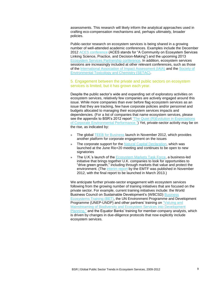assessments. This research will likely inform the analytical approaches used in crafting eco-compensation mechanisms and, perhaps ultimately, broader policies.

Public-sector research on ecosystem services is being shared in a growing number of well-attended academic conferences. Examples include the December 2012 [ACES conference](http://www.conference.ifas.ufl.edu/aces/) (ACES stands for "A Community on Ecosystem Services Linking Science, Practice, and Decision-Making") and the upcoming 2013 [Ecosystem Services Partnership conference.](http://www.espconference.org/ESP_Conference) In addition, ecosystem services sessions are increasingly included at other relevant conferences, such as those of the [International Association of Impact Assessment \(IAIA\)](http://www.iaia.org/iaia13/) and the [Society of](http://www.setac.org/)  [Environmental Toxicology and Chemistry](http://www.setac.org/) (SETAC).

### 5. Engagement between the private and public sectors on ecosystem services is limited, but it has grown each year.

Despite the public sector's wide and expanding set of exploratory activities on ecosystem services, relatively few companies are actively engaged around this issue. While more companies than ever before flag ecosystem services as an issue that they are tracking, few have corporate policies and/or personnel and budgets allocated to managing their ecosystem services impacts and dependencies. (For a list of companies that name ecosystem services, please see the appendix to BSR's 2012 report "The Quiet (R)Evolution in Expectations [of Corporate Environmental Performance.](http://www.bsr.org/en/our-insights/report-view/the-quiet-revolution-in-expectations-of-corporate-environmental-performance)") Yet, private-sector activity may be on the rise, as indicated by:

- » The global **TEEB for Business launch in November 2012**, which provides another platform for corporate engagement on the issues
- » The corporate support for the [Natural Capital Declaration,](http://www.naturalcapitaldeclaration.org/) which was launched at the June Rio+20 meeting and continues to be open to new signatories
- » The U.K.'s launch of the [Ecosystem Markets Task Force,](http://www.defra.gov.uk/ecosystem-markets/) a business-led initiative that brings together U.K. companies to look for opportunities to "drive green growth," including through markets that value and protect the environment. (The [interim report](http://www.defra.gov.uk/ecosystem-markets/work/publications-reports/) by the EMTF was published in November 2012, with the final report to be launched in March 2013.)

We anticipate further private-sector engagement with ecosystem services following from the growing number of training initiatives that are focused on the private sector. For example, current training initiatives include: the World Business Council on Sustainable Development's (WBCSD) [Business](http://www.wbcsd.org/bet.aspx)  [Ecosystems Training](http://www.wbcsd.org/bet.aspx) (BET), the UN Environment Programme and Development Programme (UNEP-UNDP) and other partners' training on ["Valuing and](https://www.conservationtraining.org/mod/page/view.php?id=3901&utm_source=TEEBrief+Issue+16&utm_campaign=TEEBrief+16&utm_medium=email)  [Mainstreaming of Biodiversity and Ecosystem Services into Development](https://www.conservationtraining.org/mod/page/view.php?id=3901&utm_source=TEEBrief+Issue+16&utm_campaign=TEEBrief+16&utm_medium=email)  [Planning,](https://www.conservationtraining.org/mod/page/view.php?id=3901&utm_source=TEEBrief+Issue+16&utm_campaign=TEEBrief+16&utm_medium=email)" and the Equator Banks' training for member-company analysts, which is driven by changes in due-diligence protocols that now explicitly include ecosystem services.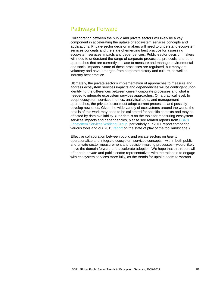# Pathways Forward

Collaboration between the public and private sectors will likely be a key component in accelerating the uptake of ecosystem services concepts and applications. Private-sector decision makers will need to understand ecosystem services concepts and the state of emerging best practice for assessing ecosystem services impacts and dependencies. Public-sector decision makers will need to understand the range of corporate processes, protocols, and other approaches that are currently in place to measure and manage environmental and social impacts. Some of these processes are regulated, but many are voluntary and have emerged from corporate history and culture, as well as industry best practice.

Ultimately, the private sector's implementation of approaches to measure and address ecosystem services impacts and dependencies will be contingent upon identifying the differences between current corporate processes and what is needed to integrate ecosystem services approaches. On a practical level, to adopt ecosystem services metrics, analytical tools, and management approaches, the private sector must adapt current processes and possibly develop new ones. Given the wide variety of ecosystems around the world, the details of this work may need to be calibrated for specific contexts and may be affected by data availability. (For details on the tools for measuring ecosystem services impacts and dependencies, please see related reports from BSR's [Ecosystem Services Working Group,](http://www.bsr.org/en/our-work/working-groups/ecosystem-services-tools-markets) particularly our 2011 report comparing various tools and our 2013 [report](http://www.bsr.org/en/our-insights/report-view/measuring-managing-corporate-performance-in-an-era-of-expanded-disclosure) on the state of play of the tool landscape.)

Effective collaboration between public and private sectors on *how* to operationalize and integrate ecosystem services concepts—within both publicand private-sector measurement and decision-making processes—would likely move the domain forward and accelerate adoption. We hope that this report will offer both private and public sector representatives with the rationale to engage with ecosystem services more fully, as the trends for uptake seem to warrant.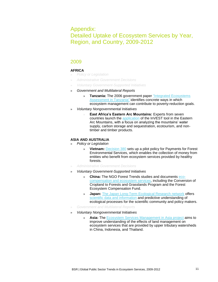# Appendix: Detailed Uptake of Ecosystem Services by Year, Region, and Country, 2009-2012

### 2009

### **AFRICA**

- » *Policy or Legislation*
- » *Administrative Government Decisions*
- » *Voluntary Government-Supported Initiatives*
- » *Government and Multilateral Reports* 
	- » **Tanzania:** The 2006 government paper ["Integrated Ecosystems](http://www.unpei.org/PDF/TZ-Integrated-ecosystems-assessment.pdf)  **Assessment in Tanzania**" identifies concrete ways in which ecosystem management can contribute to poverty-reduction goals.
- » *Voluntary Nongovernmental Initiatives*
	- **East Africa's Eastern Arc Mountains: Experts from seven** countries launch the [application](http://www.naturalcapitalproject.org/tanzania.html) of the InVEST tool in the Eastern Arc Mountains, with a focus on analyzing the mountains' water supply, carbon storage and sequestration, ecotourism, and nontimber and timber products.

### **ASIA AND AUSTRALIA**

- » *Policy or Legislation*
	- » **Vietnam:** [Decision 380](http://www.vietnamforestry.org.vn/view_news.aspx?nid=191&cid=115) sets up a pilot policy for Payments for Forest Environmental Services, which enables the collection of money from entities who benefit from ecosystem services provided by healthy forests.
- » *Administrative Government Decisions*
- » *Voluntary Government-Supported Initiatives*
	- » **China:** The NGO Forest Trends studies and documents [eco](http://www.forest-trends.org/publication_details.php?publicationID=2317)[compensation and ecosystem services,](http://www.forest-trends.org/publication_details.php?publicationID=2317) including the Conversion of Cropland to Forests and Grasslands Program and the Forest Ecosystem Compensation Fund.
	- » **Japan:** [The Japan Long-Term Ecological Research network](http://www.jalter.org/modules/about/index.php?ml_lang=en) offers [scientific data and information](http://www.biodic.go.jp/gbm/gbon/PDF/0722/a.m/2/Dr.Ohte.pdf) and predictive understanding of ecological processes for the scientific community and policy makers.
- » *Government and Multilateral Reports*
- » *Voluntary Nongovernmental Initiatives*
	- » **Asia:** The [Ecosystem Services Management](http://www.glp.hokudai.ac.jp/ecosmag/background.htm) in Asia project aims to improve understanding of the effects of land management on ecosystem services that are provided by upper tributary watersheds in China, Indonesia, and Thailand.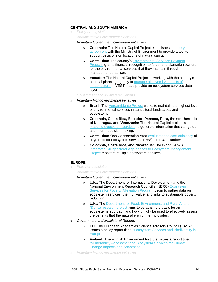### **CENTRAL AND SOUTH AMERICA**

- » *Policy or Legislation*
- » *Administrative Government Decisions*
- » *Voluntary Government-Supported Initiatives*
	- » **Colombia:** The Natural Capital Project establishes a [three-year](http://www.naturalcapitalproject.org/nasca.html)  [agreement](http://www.naturalcapitalproject.org/nasca.html) with the Ministry of Environment to provide a tool to support decisions on locations of natural capital.
	- » **Costa Rica:** The country's [Environmental Services Payment](http://www.fonafifo.com/paginas_english/environmental_services/servicios_ambientales.htm)  [Program](http://www.fonafifo.com/paginas_english/environmental_services/servicios_ambientales.htm) grants financial recognition to forest and plantation owners for the environmental services that they maintain through management practices.
	- » **Ecuador:** The Natural Capital Project is working with the country's national planning agency to [manage biodiversity impacts of](http://www.naturalcapitalproject.org/nasca.html)  [infrastructure.](http://www.naturalcapitalproject.org/nasca.html) InVEST maps provide an ecosystem services data layer.
- » *Government and Multilateral Reports*
- » *Voluntary Nongovernmental Initiatives*
	- » **Brazil:** The [Agroambiente Project](http://www.katoombagroup.org/documents/newsletters/sea/sa_edition3en.htm#project2) works to maintain the highest level of environmental services in agricultural landscapes and ecosystems.
	- » **Colombia, Costa Rica, Ecuador, Panama, Peru, the southern tip of Nicaragua, and Venezuela:** The Natural Capital project is [mapping ecosystem services](http://www.naturalcapitalproject.org/nasca.html) to generate information that can guide and inform decision making**.**
	- **Costa Rica: Osa Conservation Area [evaluates the cost-efficiency](http://www.ecologyandsociety.org/vol14/iss2/art34/) of** payments for ecosystem services (PES) to private landowners.
	- » **Colombia, Costa Rica, and Nicaragua:** The World Bank's [Integrated Silvopastoral Approaches to Ecosystem Management](http://www-wds.worldbank.org/external/default/main?pagePK=64193027&piPK=64187937&theSitePK=523679&menuPK=64187510&searchMenuPK=64187283&siteName=WDS&entityID=000333037_20081125224142)  [Project](http://www-wds.worldbank.org/external/default/main?pagePK=64193027&piPK=64187937&theSitePK=523679&menuPK=64187510&searchMenuPK=64187283&siteName=WDS&entityID=000333037_20081125224142) monitors multiple ecosystem services.

### **EUROPE**

- » *Policy or Legislation*
- » *Administrative Government Decisions*
- » *Voluntary Government-Supported Initiatives*
	- » **U.K.:** The Department for International Development and the National Environment Research Council's (NERC) [Ecosystem](http://www.espa.ac.uk/)  [Services for Poverty Alleviation Program](http://www.espa.ac.uk/) begin to gather data on ecosystem services, their full value, and links to sustainable poverty reduction.
	- » **U.K.:** The [Department for Food, Environment, and Rural Affairs](http://www.ecosystemservices.org.uk/)  [\(Defra\) research project](http://www.ecosystemservices.org.uk/) aims to establish the basis for an ecosystems approach and how it might be used to effectively assess the benefits that the natural environment provides.
- » *Government and Multilateral Reports* 
	- » **EU:** The European Academies Science Advisory Council (EASAC) issues a policy report titled ["Ecosystem Services and Biodiversity in](http://www.sazu.si/files/file-137.pdf)  [Europe."](http://www.sazu.si/files/file-137.pdf)
	- » **Finland:** The Finnish Environment Institute issues a report titled ["Vulnerability Assessment of Ecosystem Services for Climate](http://www.ymparisto.fi/default.asp?node=24015&lan=en)  [Change Impacts and Adaptation."](http://www.ymparisto.fi/default.asp?node=24015&lan=en)
- » *Voluntary Nongovernmental Initiatives*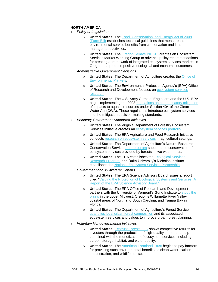### **NORTH AMERICA**

- » *Policy or Legislation*
	- » **United States:** The [Food, Conservation, and Energy Act of 2008](http://www.fs.fed.us/ecosystemservices/Farm_Bill/index.shtml)  [\(Farm Bill\)](http://www.fs.fed.us/ecosystemservices/Farm_Bill/index.shtml) establishes technical guidelines that measure the environmental service benefits from conservation and landmanagement activities.
	- » **United States:** The [Oregon Senate Bill 513](http://masgc.org/page.asp?id=609) creates an Ecosystem Services Market Working Group to advance policy recommendations for creating a framework of integrated ecosystem services markets in Oregon that produce positive ecological and economic outcomes.
- » *Administrative Government Decisions*
	- » **United States:** The Department of Agriculture creates the [Office of](http://www.usda.gov/wps/portal/!ut/p/_s.7_0_A/7_0_1OB?contentidonly=true&contentid=2010/03/0115.xml)  [Environmental Markets.](http://www.usda.gov/wps/portal/!ut/p/_s.7_0_A/7_0_1OB?contentidonly=true&contentid=2010/03/0115.xml)
	- » **United States:** The Environmental Protection Agency's (EPA) Office of Research and Development focuses on [ecosystem services](http://www.epa.gov/ecology/)  [research.](http://www.epa.gov/ecology/)
	- » **United States:** The U.S. Army Corps of Engineers and the U.S. EPA begin implementing the 2008 [regulations on compensatory mitigation](http://water.epa.gov/lawsregs/guidance/wetlands/wetlandsmitigation_index.cfm) of impacts to aquatic resources under Section 404 of the Clean Water Act (CWA). These regulations introduce ecosystem services into the mitigation decision-making standards.
- » *Voluntary Government-Supported Initiatives*
	- » **United States:** The Virginia Department of Forestry Ecosystem Services Initiative creates an [ecosystem services portfolio.](http://www.fs.fed.us/ecosystemservices/)
	- » **United States:** The EPA Agriculture and Food Research Initiative conducts research [on ecosystem services](http://www.csrees.usda.gov/fo/enhancingecosystemservicesafri.cfm) in agricultural settings.
	- » **United States:** The Department of Agriculture's Natural Resource Conservation Service [grant program](http://www.whiteriverpartnership.org/index.php/news/northern-forest-watershed-services-project) supports the conservation of ecosystem services provided by forests in two watersheds.
	- » **United States:** The EPA establishes the [Ecological Services](http://www.epa.gov/research/ecoscience/)  [Research Program,](http://www.epa.gov/research/ecoscience/) and Duke University's Nicholas Institute establishes the [National Ecosystem Services Partnership.](http://www.epa.gov/ORD/esrp/pdfs/ESRP-CRADA-Brochure.pdf)
- » *Government and Multilateral Reports* 
	- » **United States:** The EPA Science Advisory Board issues a report titled ["Valuing the Protection of Ecological Systems and Services: A](http://yosemite.epa.gov/sab/sabproduct.nsf/WebBOARD/ValProtEcolSys&Serv?OpenDocument)  [Report of the EPA Science Advisory Board."](http://yosemite.epa.gov/sab/sabproduct.nsf/WebBOARD/ValProtEcolSys&Serv?OpenDocument)
	- » **United States:** The EPA Office of Research and Development partners with the University of Vermont's Gund Institute to [study the](http://epa.gov/ord/esrp/)  [plains](http://epa.gov/ord/esrp/) in the upper Midwest, Oregon's Willamette River Valley, coastal areas of North and South Carolina, and Tampa Bay in Florida.
	- » **United States:** The Department of Agriculture's Forest Service [quantifies local urban forest composition](http://www.fs.fed.us/ecosystemservices/) and its associated ecosystem services and values to improve urban forest planning.
- » *Voluntary Nongovernmental Initiatives*
	- **United States: [Ecotrust Forests LLC](http://www.ecotrust.org/forests/index.html) shows competitive returns for** investors through the production of high-quality timber and pulp combined with the monetization of ecosystem services, including carbon storage, habitat, and water quality.
	- **United States:** The [American Farmland Trust](http://www.farmland.org/) begins to pay farmers for providing such environmental benefits as clean water, carbon sequestration, and wildlife habitat.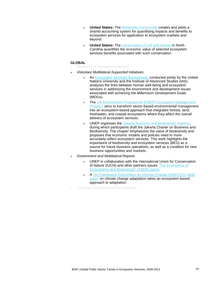- » **United States:** The [Willamette Partnership](http://www.willamettepartnership.org/) creates and pilots a shared accounting system for quantifying impacts and benefits to ecosystem services for application to ecosystem markets and beyond.
- » **United States:** The [conservation of red wolf habitat](http://walker-foundation.org/net/org/project.aspx?s=76840.0.69.5316&projectid=76840) in North Carolina quantifies the economic value of selected ecosystem services benefits associated with such conservation.

### **GLOBAL**

- » *Decisions of International Bodies*
- » *Voluntary Multilateral-Supported Initiatives*
	- » An [Ecosystem Services Assessment,](http://www.ias.unu.edu/sub_page.aspx?catID=752&ddlID=753) conducted jointly by the United Nations University and the Institute of Advanced Studies (IAS), analyzes the links between human well-being and ecosystem services in addressing the environment and development issues associated with achieving the Millennium Development Goals (MDGs).
	- » The UN [Environment Programme \(UNEP\)](http://www.unep.org/ecosystemmanagement/LinkClick.aspx?fileticket=gbPVsoUCp-E%3d&tabid=311&mid=670&language=en-US) Ecosystem Management [Program](http://www.unep.org/ecosystemmanagement/LinkClick.aspx?fileticket=gbPVsoUCp-E%3d&tabid=311&mid=670&language=en-US) aims to transform sector-based environmental management into an ecosystem-based approach that integrates forests, land, freshwater, and coastal ecosystems where they affect the overall delivery of ecosystem services.
	- » UNEP organizes the [Jakarta Business and Biodiversity meeting,](http://www.cbd.int/business3/) during which participants draft the Jakarta Charter on Business and Biodiversity. The chapter emphasizes the value of biodiversity and proposes that economic models and policies need to more accurately reflect ecosystem services. This work highlights the importance of biodiversity and ecosystem services (BES) as a source for future business operations, as well as a condition for new business opportunities and markets.
- » *Government and Multilateral Reports* 
	- » UNEP in collaboration with the International Union for Conservation of Nature (IUCN) and other partners issues ["The Economics of](http://www.teebweb.org/publications/)  [Ecosystems and Biodiversity"](http://www.teebweb.org/publications/) (TEEB) report.
	- » A [UN Framework Convention on Climate Change \(UNFCCC\)](http://unfccc.int/2860.php) [white](http://cmsdata.iucn.org/downloads/iucn_position_paper_eba_june_09_2.pdf)  [paper](http://cmsdata.iucn.org/downloads/iucn_position_paper_eba_june_09_2.pdf) on climate change adaptation takes an ecosystem-based approach to adaptation.
- » *Voluntary Nongovernmental Initiatives*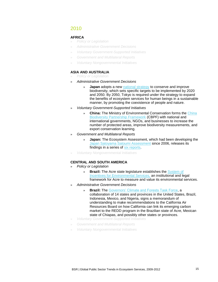### 2010

### **AFRICA**

- » *Policy or Legislation*
- » *Administrative Government Decisions*
- » *Voluntary Government-Supported Initiatives*
- » *Government and Multilateral Reports*
- » *Voluntary Nongovernmental Initiatives*

### **ASIA AND AUSTRALIA**

- » *Policy or Legislation*
- » *Administrative Government Decisions*
	- **Japan** adopts a new [national strategy](http://www.japantoday.com/category/national/view/japans-new-biodiversity-strategy-sets-goals-for-2020-2050) to conserve and improve biodiversity, which sets specific targets to be implemented by 2020 and 2050. By 2050, Tokyo is required under the strategy to expand the benefits of ecosystem services for human beings in a sustainable manner, by promoting the coexistence of people and nature.
- » *Voluntary Government-Supported Initiatives*
	- » **China:** The Ministry of Environmental Conservation forms the [China](http://www.gefcbpf.cn/swdyxhb_en/web/index.aspx)  [Biodiversity Partnership Framework](http://www.gefcbpf.cn/swdyxhb_en/web/index.aspx) (CBPF) with national and international governments, NGOs, and businesses to increase the number of protected areas, improve biodiversity measurements, and export conservation learning.
- » *Government and Multilateral Reports* 
	- » **Japan:** The Ecosystem Assessment, which had been developing the [Japan Satoyama Satoumi](http://www.ias.unu.edu/sub_page.aspx?catID=1043&ddlID=1042) Assessment since 2006, releases its findings in a series of [six reports.](http://www.ias.unu.edu/sub_page.aspx?catID=111&ddlID=1485)
- » *Voluntary Nongovernmental Initiatives*

### **CENTRAL AND SOUTH AMERICA**

- » *Policy or Legislation*
	- » **Brazil:** The Acre state legislature establishes the [System of](http://www.edf.org/sites/default/files/11492_Acre_SISA_fact_sheet.pdf)  [Incentives for Environmental Services,](http://www.edf.org/sites/default/files/11492_Acre_SISA_fact_sheet.pdf) an institutional and legal framework for Acre to measure and value its environmental services.
- » *Administrative Government Decisions*
	- » **Brazil:** The [Governors' Climate and Forests Task Force,](http://www.gcftaskforce.org/) a collaboration of 14 states and provinces in the United States, Brazil, Indonesia, Mexico, and Nigeria, signs a memorandum of understanding to make recommendations to the California Air Resources Board on how California can link its emerging carbon market to the REDD program in the Brazilian state of Acre, Mexican state of Chiapas, and possibly other states or provinces.
- » *Voluntary Government-Supported Initiatives*
- » *Government and Multilateral Reports*
- » *Voluntary Nongovernmental Initiatives*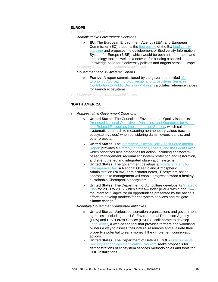### **EUROPE**

- » *Policy or Legislation*
- » *Administrative Government Decisions*
	- » **EU:** The European Environment Agency (EEA) and European Commission (EC) presents the [first outline](http://www.eea.europa.eu/highlights/eeas-input-to-post-2010-biodiversity-policy) of the EU [biodiversity](http://ec.europa.eu/environment/nature/biodiversity/policy/pdf/communication_2010_0004.pdf)  [baseline](http://ec.europa.eu/environment/nature/biodiversity/policy/pdf/communication_2010_0004.pdf) and proposes the development of Biodiversity Information System for Europe (BISE), which would be both an information and technology tool, as well as a network for building a shared knowledge base for biodiversity policies and targets across Europe.
- » *Voluntary Government-Supported Initiatives*
- » *Government and Multilateral Reports* 
	- **France:** A report commissioned by the government, titled "An [Economic Approach to Biodiversity and Ecosystems](http://www.cbd.int/doc/case-studies/inc/cs-inc-report-en.pdf) Services [Contribution to Public Decision-Making,](http://www.cbd.int/doc/case-studies/inc/cs-inc-report-en.pdf)" calculates reference values for French ecosystems.
- » *Voluntary Nongovernmental Initiatives*

#### **NORTH AMERICA**

- » *Policy or Legislation*
- » *Administrative Government Decisions*
	- » **United States:** The Council on Environmental Quality issues its [Proposed National Objectives, Principles, and Standards for Water](http://www.whitehouse.gov/sites/default/files/microsites/091203-ceq-revised-principles-guidelines-water-resources.pdf)  [and Related Resources Implementation Studies,](http://www.whitehouse.gov/sites/default/files/microsites/091203-ceq-revised-principles-guidelines-water-resources.pdf) which call for a systematic approach to measuring nonmonetary values (such as ecosystem values) when considering dams, levees, canals, and other projects.
	- » **United States:** The [Interagency Ocean Policy Task Force Interim](http://www.noaanews.noaa.gov/stories2009/20090918_ceq2.html)  [Report](http://www.noaanews.noaa.gov/stories2009/20090918_ceq2.html) provides a strategy [for oceans, coasts, and the Great Lakes,](http://www.whitehouse.gov/administration/eop/ceq/initiatives/oceans) which prioritizes nine categories for action, including ecosystembased management, regional ecosystem protection and restoration, and strengthened and integrated observation systems.
	- **United States:** The government develops a [federal strategy](http://executiveorder.chesapeakebay.net/file.axd?file=2010/5/Chesapeake+EO+Strategy.pdf) for [Chesapeake Bay.](http://executiveorder.chesapeakebay.net/file.axd?file=2010/5/Chesapeake+EO+Strategy.pdf) A National Oceanic and Atmospheric Administration (NOAA) administrator notes, "Ecosystem-based approaches to management will enable progress toward a healthy, sustainable Chesapeake ecosystem . . .
	- » **United States:** The Department of Agriculture develops its [Strategic](http://www.ocfo.usda.gov/usdasp/sp2010/sp2010.pdf?goback=.gde_2285154_member_26212744)  [Plan](http://www.ocfo.usda.gov/usdasp/sp2010/sp2010.pdf?goback=.gde_2285154_member_26212744) for 2010 to 2015, which states—under pillar 4 within goal 1 the intent to: "Capitalize on opportunities presented by the nation's efforts to develop markets for ecosystem services and mitigate climate change."
- » *Voluntary Government-Supported Initiatives*
	- **United States: Various conservation organizations and government** agencies—including the U.S. Environmental Protection Agency (EPA) and U.S. Forest Service (USFS)—collaborate to develop [LandServer,](http://www.landserver.org/) a web-based tool that provides farmers and woodland owners a way to assess their natural resources and evaluate their property's potential to earn money if they implement conservation actions.
	- **United States:** The Department of Defense (DOD) Environmental [Security Technology Certification Program](http://www.serdp.org/About-SERDP-and-ESTCP/About-ESTCP) seeks proposals for demonstrations of ecosystem services methodologies and tools for DOD installations.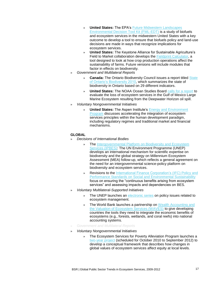- » **United States:** The EPA's [Future Midwestern Landscapes](http://www.epa.gov/reva/fml-edt.html)  [Environmental Decision Tool Kit](http://www.epa.gov/reva/fml-edt.html) (FML-EDT) is a study of biofuels and ecosystem services in the midwestern United States with a key outcome to develop a tool to ensure that biofuels policy and land-use decisions are made in ways that recognize implications for ecosystem services.
- » **United States:** The Keystone Alliance for Sustainable Agriculture's Field to Market collaboration develops the [Fieldprint Calculator,](http://www.fieldtomarket.org/fieldprint-calculator/) a tool designed to look at how crop production operations affect the sustainability of farms. Future versions will include modules that factor in effects on biodiversity.
- » *Government and Multilateral Reports* 
	- **Canada:** The Ontario Biodiversity Council issues a report titled State [of Ontario's Biodiversity 2010,](http://ontariobiodiversitycouncil.ca/reports-introduction/) which summarizes the state of biodiversity in Ontario based on 29 different indicators.
	- » **United States:** The NOAA Ocean Studies Board calls [for a report](http://dels.nas.edu/Study-In-Progress/Effects-Deepwater-Horizon-Mississippi/DELS-OSB-10-02) to evaluate the loss of ecosystem services in the Gulf of Mexico Large Marine Ecosystem resulting from the Deepwater Horizon oil spill.
- » *Voluntary Nongovernmental Initiatives*
	- **United States: The Aspen Institute's Energy and Environment** [Program](http://www.aspeninstitute.org/policy-work/energy-environment) discusses accelerating the integration of ecosystem services principles within the human development paradigm, including regulatory regimes and traditional market and financial mechanisms.

### **GLOBAL**

- » *Decisions of International Bodies*
	- » The Intergovernmental Platform on Biodiversity and Ecosystem [Services \(IPBES\):](http://ipbes.net/en/index.asp) The UN Environment Programme (UNEP) develops an international mechanism for scientific expertise on biodiversity and the global strategy on Millennium Ecosystem Assessment (MEA) follow-up, which reflects a general agreement on the need for an intergovernmental science-policy platform on biodiversity and ecosystem services.
	- » Revisions to the [International Finance Corporation's \(IFC\)](http://www.ifc.org/policyreview) Policy and [Performance Standards on Social and Environmental Sustainability](http://www.ifc.org/policyreview)  focus on ensuring the "continuous benefits arising from ecosystem services" and assessing impacts and dependencies on BES.
- » *Voluntary Multilateral-Supported Initiatives*
	- » The UNEP launches an [electronic series](http://www.unepmap.org/index.php?module=news&action=detail&id=95) on policy issues related to ecosystem management.
	- The World Bank launches a partnership on Wealth Accounting and [the Valuation of Ecosystem Services \(WAVES\)](http://web.worldbank.org/WBSITE/EXTERNAL/NEWS/0,,contentMDK:22746592~pagePK:64257043~piPK:437376~theSitePK:4607,00.html) to give developing countries the tools they need to integrate the economic benefits of ecosystems (e.g., forests, wetlands, and coral reefs) into national accounting systems.
- » *Government and Multilateral Reports*
- » *Voluntary Nongovernmental Initiatives*
	- » The Ecosystem Services for Poverty Alleviation Program launches a [two-year project](http://redd-net.org/files/ESPA%20equity%20project%203%20page%20summary.pdf) (scheduled for October 2010 to September 2012) to develop a conceptual framework that describes how changes in global values of ecosystem services affect equity at local levels.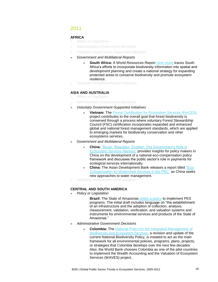### 2011

### **AFRICA**

- » *Policy or Legislation*
- » *Administrative Government Decisions*
- » *Voluntary Government-Supported Initiatives*
- » *Government and Multilateral Reports* 
	- **South Africa:** A World Resources Report [case study](http://www.worldresourcesreport.org/files/wrr/WRR%20Case%20Study_South%20Africa%20Ecosystem%20Based%20Planning%20for%20Climate%20Change_0.pdf) traces South Africa's efforts to incorporate biodiversity information into spatial and development planning and create a national strategy for expanding protected areas to conserve biodiversity and promote ecosystem resilience.
- » *Voluntary Nongovernmental Initiatives*

### **ASIA AND AUSTRALIA**

- » *Policy or Legislation*
- » *Administrative Government Decisions*
- » *Voluntary Government-Supported Initiatives*
	- » **Vietnam**: The [Forest Certification for Ecosystem Services \(ForCES\)](http://www.snvworld.org/node/4087) project contributes to the overall goal that forest biodiversity is conserved through a process where voluntary Forest Stewardship Council (FSC) certification incorporates expanded and enhanced global and national forest management standards, which are applied to emerging markets for biodiversity conservation and other ecosystems services.
- » *Government and Multilateral Reports* 
	- » **China:** ["Buyer, Regulator, Enabler: The Government's Role in](http://beta.adb.org/publications/buyer-regulator-and-enabler-governments-role-ecosystem-services-markets)  [Ecosystem Services Markets"](http://beta.adb.org/publications/buyer-regulator-and-enabler-governments-role-ecosystem-services-markets) provides insights for policy makers in China on the development of a national eco-compensation policy framework and discusses the public sector's role in payments for ecological services internationally.
	- » **China:** The Asian Development Bank releases a report titled ["Eco-](http://beta.adb.org/publications/eco-compensation-watershed-services-peoples-republic-china)[Compensation for Watershed Services in the PRC"](http://beta.adb.org/publications/eco-compensation-watershed-services-peoples-republic-china) as China seeks new approaches to water management.
- » *Voluntary Nongovernmental Initiatives*

### **CENTRAL AND SOUTH AMERICA**

- » *Policy or Legislation*
	- **Brazil:** The State of Amazonas [drafts a policy](http://www.gcftaskforce.org/documents/Amazonas_Proposed_Law_on_Environmental_Services_and_Forest_Conservation_Unofficial_English_Translation.pdf) to implement PES programs. The initial draft includes language on "the establishment of an infrastructure and the adoption of collection, analysis, measurement, validation, verification, and valuation systems and instruments for environmental services and products of the State of Amazonas."
- » *Administrative Government Decisions*
	- » **Colombia:** The [National Policy for the Integrated Management of](http://www.cbd.int/nbsap/about/latest/)  [Biodiversity and Ecosystem Services,](http://www.cbd.int/nbsap/about/latest/) a revision and update of the current National Biodiversity Policy, is instated to act as the main framework for all environmental policies, programs, plans, projects, or strategies that Colombia develops over the next few decades. Also, the World Bank chooses Colombia as one of the pilot countries to implement the Wealth Accounting and the Valuation of Ecosystem Services (WAVES) project.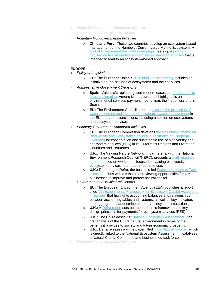- » *Voluntary Government-Supported Initiatives*
- » *Government and Multilateral Reports*
- » *Voluntary Nongovernmental Initiatives*
	- » **Chile and Peru:** These two countries develop an ecosystem-based management of the Humboldt Current Large Marine Ecosystem. A [Global Environment Facility-funded project](http://iwlearn.net/iw-projects/towards-ecosystem-management-of-the-humboldt-current-large-marine-ecosystem) sets up a [program](http://waterwiki.net/index.php/Towards_integrated_management_of_the_Humboldt_Current_Large_Marine_Ecosystem)  [focused on transboundary and ecosystem-based diagnoses](http://waterwiki.net/index.php/Towards_integrated_management_of_the_Humboldt_Current_Large_Marine_Ecosystem) that is intended to lead to an ecosystem-based approach.

#### **EUROPE**

- » *Policy or Legislation*
	- » **EU:** The European Union's 2020 [biodiversity strategy](http://ec.europa.eu/environment/nature/biodiversity/comm2006/2020.htm) includes an initiative on "no-net-loss of ecosystems and their services."
- » *Administrative Government Decisions*
	- **Spain:** Valencia's regional government releases the first draft of its [forest action plan.](http://cma.gva.es/web/indice.aspx?nodo=72266&idioma=C;%20http://cma.gva.es/web/indice.aspx?nodo=72267&idioma=C) Among its measurement highlights is an environmental services payment mechanism, the first official one in Spain.
	- » **EU:** The Environment Council meets to [discuss the protection of](http://www.consilium.europa.eu/uedocs/cms_data/docs/pressdata/en/envir/122943.pdf)  [water resources and integrated sustainable water management](http://www.consilium.europa.eu/uedocs/cms_data/docs/pressdata/en/envir/122943.pdf) in the EU and adopt conclusions, including a section on ecosystems and ecosystem services.
- » *Voluntary Government-Supported Initiatives*
	- **EU:** The European Commission develops the Voluntary Scheme for [Biodiversity and Ecosystem Services in Territories of European](http://europa.eu/rapid/pressReleasesAction.do?reference=IP/11/241&format=HTML&aged=0&language=EN&guiLanguage=en)  [Overseas](http://europa.eu/rapid/pressReleasesAction.do?reference=IP/11/241&format=HTML&aged=0&language=EN&guiLanguage=en) for conservation and sustainable use of biodiversity and ecosystem services (BES) in its Outermost Regions and Overseas Countries and Territories.
	- » **U.K.:** The Valuing Nature Network, in partnership with the National Environment Research Council (NERC), presents a [draft research](http://www.valuing-nature.net/draft-research-agenda-announcement)  [agenda](http://www.valuing-nature.net/draft-research-agenda-announcement) based on workshops focused on valuing biodiversity, ecosystem services, and natural resource use.
	- » **U.K.:** Reporting to Defra, the business-led [Ecosystem Markets Task](http://www.defra.gov.uk/ecosystem-markets/)  [Force](http://www.defra.gov.uk/ecosystem-markets/) launches with a mission of reviewing opportunities for U.K. businesses to improve and protect natural capital.
- » *Government and Multilateral Reports* 
	- » **EU:** The European Environment Agency (EEA) publishes a report titled ["An Experimental Framework for Ecosystem Capital Accounting](http://www.eea.europa.eu/publications/an-experimental-framework-for-ecosystem?&utm_campaign=newsletter.2011-11-08.9763582945&utm_medium=email&utm_source=EEASubscriptions)  [in Europe"](http://www.eea.europa.eu/publications/an-experimental-framework-for-ecosystem?&utm_campaign=newsletter.2011-11-08.9763582945&utm_medium=email&utm_source=EEASubscriptions) that highlights accounting balances and relationships between accounting tables and systems, as well as key indicators and aggregates that describe economy-ecosystem interactions.
	- **U.K.:** A [Defra report](http://www.defra.gov.uk/publications/files/ecosystem-payment-services-pb13658a.pdf) sets out the economic framework and key design principles for payments for ecosystem services (PES).
	- » **U.K.:** The UN releases its ["National Ecosystem Assessment,](http://www.eea.europa.eu/publications/an-experimental-framework-for-ecosystem?&utm_campaign=newsletter.2011-11-08.9763582945&utm_medium=email&utm_source=EEASubscriptions)" the first analysis of the U.K.'s natural environment in terms of the benefits it provides to society and future economic prosperity.
	- » **U.K.:** Defra releases a white paper titled ["The Natural Choice,"](http://www.defra.gov.uk/news/2011/06/07/natural-environment/) which is directly linked to the National Ecosystem Assessment. It catalyzes a Natural Capital Committee and business-led task force.
- » *Voluntary Nongovernmental Initiatives*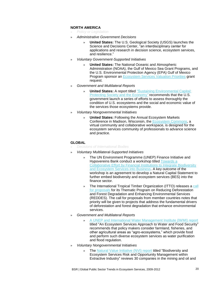### **NORTH AMERICA**

- » *Policy or Legislation*
- » *Administrative Government Decisions*
	- » **United States:** The U.S. Geological Society (USGS) launches the Science and Decisions Center, "an interdisciplinary center for applications and research in decision science, ecosystem services, and resilience."
- » *Voluntary Government-Supported Initiatives*
	- » **United States:** The National Oceanic and Atmospheric Administration (NOAA), the Gulf of Mexico Sea Grant Programs, and the U.S. Environmental Protection Agency (EPA) Gulf of Mexico Program sponsor an **Ecosystem Services Valuation Priorities** grant request.
- » *Government and Multilateral Reports* 
	- **United States:** A report titled "Sustaining Environmental Capital: [Protecting Society and the Economy](http://www.whitehouse.gov/sites/default/files/microsites/ostp/pcast_sustaining_environmental_capital_report.pdf)*"* recommends that the U.S. government launch a series of efforts to assess thoroughly the condition of U.S. ecosystems and the social and economic value of the services those ecosystems provide.
- » *Voluntary Nongovernmental Initiatives*
	- » **United States:** Following the Annual Ecosystem Markets Conference in Madison, Wisconsin, the [Ecosystem Commons,](http://www.ecosystemcommons.org/) a virtual community and collaborative workspace, is designed for the ecosystem services community of professionals to advance science and practice.

### **GLOBAL**

- » *Decisions of International Bodies*
- » *Voluntary Multilateral-Supported Initiatives*
	- » The UN Environment Programme (UNEP) Finance Initiative and Hypovereins Bank conduct a workshop titled [Towards a](http://www.unepfi.org/events/2011/munich/index.html)  [Collaborative Effort by Financial Institutions to Integrate Biodiversity](http://www.unepfi.org/events/2011/munich/index.html)  [and Ecosystem Services into Business.](http://www.unepfi.org/events/2011/munich/index.html) A key outcome of the workshop is an agreement to develop a Natural Capital Statement to further embed biodiversity and ecosystem services (BES) into the finance sector.
	- » The International Tropical Timber Organization (ITTO) releases a call [for proposals](http://www.itto.int/files/user/pdf/callforproposals/TPD_REDDES_E_100415.pdf) for its Thematic Program on Reducing Deforestation and Forest Degradation and Enhancing Environmental Services (REDDES). The call for proposals from member countries notes that priority will be given to projects that address the fundamental drivers of deforestation and forest degradation that enhance environmental services.
- » *Government and Multilateral Reports* 
	- » [A UNEP and International Water Management Institute \(IWMI\) report](http://www.iwmi.cgiar.org/Topics/Ecosystems/PDF/Synthesis_Report-An_Ecosystem_Services_Approach_to_Water_and_Food_Security_2011_UNEP-IWMI.pdf) titled "An Ecosystem Services Approach to Water and Food Security" recommends that policy makers consider farmland, fisheries, and other agricultural areas as "agro-ecosystems," which provide food and perform such diverse ecosystem services as water purification and flood regulation.
- » *Voluntary Nongovernmental Initiatives*
	- » The [Natural Value Initiative \(NVI\) report](http://www.naturalvalueinitiative.org/download/documents/Publications/NVI%20Extractive%20Report%20Executive%20Summary.pdf) titled "Biodiversity and Ecosystem Services Risk and Opportunity Management within Extractive Industry" reviews 30 companies in the mining and oil and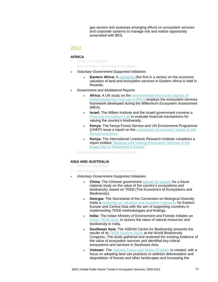gas sectors and assesses emerging efforts on ecosystem services and corporate systems to manage risk and realize opportunity associated with BES.

### 2012

### **AFRICA**

- » *Policy or Legislation*
- » *Administrative Government Decisions*
- » *Voluntary Government-Supported Initiatives*
	- » **Eastern Africa:** A [workshop](http://biodiversity-l.iisd.org/news/workshop-for-eastern-africa-considers-economic-valuation-of-land-and-ecosystem-services/) (the first in a series) on the economic valuation of land and ecosystem services in Eastern Africa is held in Rwanda.
- » *Government and Multilateral Reports* 
	- » **Africa:** A UN study on the [environmental and social impacts of](http://www.ias.unu.edu/resource_centre/Biofuels_in_Africa.pdf)  [biofuel production and use in Africa](http://www.ias.unu.edu/resource_centre/Biofuels_in_Africa.pdf) employs the ecosystem services framework developed during the Millennium Ecosystem Assessment (MEA).
	- **Israel:** The Milken Institute and the Israeli government convene a [Financial Innovations Lab](http://www.milkeninstitute.org/pdf/BiodiversityIsraelLab.pdf) to evaluate financial mechanisms for valuing the country's biodiversity.
	- » **Kenya:** The Kenya Forest Service and UN Environment Programme (UNEP) issue a report on the [contribution of mountain forests to the](http://www.unep.org/pdf/Montane_Forests.pdf)  [Kenyan economy.](http://www.unep.org/pdf/Montane_Forests.pdf)
	- » **Kenya:** The International Livestock Research Institute completes a report entitled ["Mapping and Valuing Ecosystem Services in the](http://mahider.ilri.org/bitstream/handle/10568/12483/Ericksen%20etal%202011_Mapping%20and%20Valuing%20ecosystem%20services.pdf?sequence=1)  [Ewaso Ng'iro Watershed in Kenya.](http://mahider.ilri.org/bitstream/handle/10568/12483/Ericksen%20etal%202011_Mapping%20and%20Valuing%20ecosystem%20services.pdf?sequence=1)"
- » *Voluntary Nongovernmental Initiatives*

### **ASIA AND AUSTRALIA**

- » *Policy or Legislation*
- » *Administrative Government Decisions*
- » *Voluntary Government-Supported Initiatives*
	- » **China:** The Chinese government signals [its support](http://www.egovmonitor.com/node/52871) for a future national study on the value of the country's ecosystems and biodiversity, based on TEEB (The Economics of Ecosystems and Biodiversity).
	- » **Georgia:** The Secretariat of the Convention on Biological Diversity holds a [workshop on valuation and incentive measures](https://www.cbd.int/doc/?meeting=RWIM-EECASI-01) for Eastern Europe and Central Asia with the aim of supporting countries in implementing TEEB methodologies and findings.
	- **India:** The Indian Ministry of Environment and Forests initiates an [Indian TEEB study](http://www.giz.de/themen/en/36797.htm) to assess the value of natural resources and biodiversity in India.
	- » **Southeast Asia:** The ASEAN Centre for Biodiversity presents the results of its **TEEB Scoping Study** at the World Biodiversity Congress. The study gathered and reviewed the existing evidence of the value of ecosystem services and identified key critical ecosystems and services in Southeast Asia.
	- » **Vietnam**: The [Vietnam Forest and Deltas Program](http://www.nhandan.com.vn/cmlink/nhandan-online/homepage/sci-tech-environment/environment/usaid-provides-over-us-40-million-for-climate-change-programmes-1.372652) is created, with a focus on adopting land use practices to address deforestation and degradation of forests and other landscapes and increasing the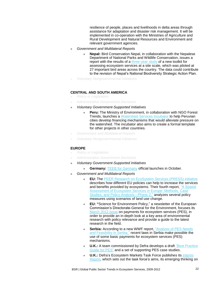resilience of people, places and livelihoods in delta areas through assistance for adaptation and disaster risk management. It will be implemented in co-operation with the Ministries of Agriculture and Rural Development and Natural Resources and Environment and relevant government agencies.

- » *Government and Multilateral Reports* 
	- » **Nepal:** Bird Conservation Nepal, in collaboration with the Nepalese Department of National Parks and Wildlife Conservation, issues a report with the results of a [three-year study](http://www.conservation.cam.ac.uk/sites/default/files/file-attachments/NepalEcosystemsServicesLowRes.pdf) of a new toolkit for assessing ecosystem services at a site scale, which was piloted at 27 important bird areas across the country. The data could contribute to the revision of Nepal's National Biodiversity Strategic Action Plan.
- » *Voluntary Nongovernmental Initiatives*

### **CENTRAL AND SOUTH AMERICA**

- » *Policy or Legislation*
- » *Administrative Government Decisions*
- » *Voluntary Government-Supported Initiatives*
	- » **Peru:** The Ministry of Environment, in collaboration with NGO Forest Trends, launches a [Watershed Services Incubator](http://www.forbes.com/sites/stevezwick/2012/05/09/can-perus-swiss-style-mountaintop-finance-ease-the-global-water-crisis/) to help Peruvian cities develop financing mechanisms that would alleviate pressure on the watershed. The incubator also aims to create a formal template for other projects in other countries.
- » *Government and Multilateral Reports*
- » *Voluntary Nongovernmental Initiatives*

#### **EUROPE**

- » *Policy or Legislation*
- » *Administrative Government Decisions*
- » *Voluntary Government-Supported Initiatives*
	- » **Germany:** [TEEB for Germany](http://www.naturkapital-teeb.de/aktuelles.html) official launches in October.
- » *Government and Multilateral Reports* 
	- » **EU:** The [PEER Research on EcoSystem Services \(PRESS\) initiative](http://www.peer.eu/projects/press-project/) describes how different EU policies can help to increase the services and benefits provided by ecosystems. Their fourth report, ["A Spatial](http://www.peer.eu/publications/a-spatial-assessment-of-ecosystem-services-in-europe-phase-2/)  [Assessment of Ecosystem Services in Europe: Methods, Case](http://www.peer.eu/publications/a-spatial-assessment-of-ecosystem-services-in-europe-phase-2/)  Studies, [and Policy Analysis—Phase 2,](http://www.peer.eu/publications/a-spatial-assessment-of-ecosystem-services-in-europe-phase-2/)" analyzes several policy measures using scenarios of land use change.
	- » **EU: "**Science for Environment Policy," a newsletter of the European Commission's Directorate-General for the Environment, focuses its [March 2012 issue](http://ec.europa.eu/environment/integration/research/newsalert/pdf/30si.pdf) on payments for ecosystem services (PES), in order to provide an in-depth look at a key area of environmental research with policy relevance and provide a guide to the latest research in the field.
	- **Serbia:** According to a new WWF report, "Analysis of PES Needs [and Feasibility in Serbia,](http://wwf.panda.org/what_we_do/where_we_work/black_sea_basin/danube_carpathian/news/?207127/Payments-for-ecosystem-services-feasible-for-Serbia)" recent laws in Serbia make possible the use of some basic payments for ecosystem services (PES) mechanisms.
	- » **U.K.:** A team commissioned by Defra develops a draft ["Best Practice](https://connect.innovateuk.org/web/sustainabilityktn/articles/-/blogs/9387891;jsessionid=C911B351F645387D48C2BE985F1030DA.1e097fe6c57)  [Guide for PES"](https://connect.innovateuk.org/web/sustainabilityktn/articles/-/blogs/9387891;jsessionid=C911B351F645387D48C2BE985F1030DA.1e097fe6c57) and a set of supporting PES case studies.
	- » **U.K.:** Defra's Ecosystem Markets Task Force publishes its [Interim](http://www.defra.gov.uk/ecosystem-markets/work/publications-reports/)  [Report,](http://www.defra.gov.uk/ecosystem-markets/work/publications-reports/) which sets out the task force's aims, its emerging thinking on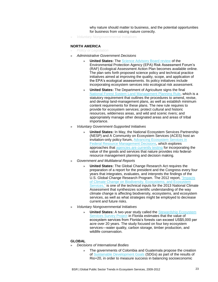why nature should matter to business, and the potential opportunities for business from valuing nature correctly.

» *Voluntary Nongovernmental Initiatives*

#### **NORTH AMERICA**

- » *Policy or Legislation*
- » *Administrative Government Decisions*
	- **United States:** The [Science Advisory Board review](http://yosemite.epa.gov/sab/SABPRODUCT.NSF/b5d8a1ce9b07293485257375007012b7/7264f8361c4094fc8525792c0057cf5a!OpenDocument&TableRow=2.3#2.) of the Environmental Protection Agency (EPA) Risk Assessment Forum's (RAF) Ecological Assessment Action Plan becomes available online. The plan sets forth proposed science policy and technical practice initiatives aimed at improving the quality, scope, and application of the EPA's ecological assessments. Its policy initiatives include incorporating ecosystem services into ecological risk assessment.
	- » **United States:** The Department of Agriculture signs the final [National Forest System Land](http://www.fs.usda.gov/detail/planningrule/faqs) Management Planning Rule, which is a statutory requirement that outlines the procedures to amend, revise, and develop land-management plans, as well as establish minimum content requirements for these plans. The new rule requires to provide for ecosystem services; protect cultural and historic resources, wilderness areas, and wild and scenic rivers; and appropriately manage other designated areas and areas of tribal importance.
- » *Voluntary Government-Supported Initiatives*
	- » **United States:** In May, the National Ecosystem Services Partnership (NESP) and A Community on Ecosystem Services (ACES) host an invitation-only policy forum, [Advancing Ecosystem Services in](http://nicholasinstitute.duke.edu/ecosystem/nesp/forum-summary)  [Federal Resource Management Decisions,](http://nicholasinstitute.duke.edu/ecosystem/nesp/forum-summary) which explores approaches that [agencies are currently testing](http://nicholasinstitute.duke.edu/ecosystem/nesp/forum-summary) for incorporating the value of the goods and services that nature provides into federalresource management planning and decision making.
- » *Government and Multilateral Reports* 
	- » **United States:** The Global Change Research Act requires the preparation of a report for the president and the Congress every four years that integrates, evaluates, and interprets the findings of the U.S. Global Change Research Program. The 2012 report, ["Impacts](http://downloads.usgcrp.gov/NCA/Activities/Biodiversity-Ecosystems-and-Ecosystem-Services-Technical-Input.pdf)  [of Climate Change on Biodiversity, Ecosystems, and Ecosystem](http://downloads.usgcrp.gov/NCA/Activities/Biodiversity-Ecosystems-and-Ecosystem-Services-Technical-Input.pdf)  [Services,](http://downloads.usgcrp.gov/NCA/Activities/Biodiversity-Ecosystems-and-Ecosystem-Services-Technical-Input.pdf)" is one of the technical inputs for the 2013 National Climate Assessment that synthesizes scientific understanding of the way climate change is affecting biodiversity, ecosystems, and ecosystem services, as well as what strategies might be employed to decrease current and future risks.
- » *Voluntary Nongovernmental Initiatives*
	- » **United States:** A two-year study called the [Stewardship Ecosystem](http://news.ifas.ufl.edu/2012/08/ufifas-study-quantifies-value-of-ecosystem-services-from-managed-forests/)  [Services Survey Project](http://news.ifas.ufl.edu/2012/08/ufifas-study-quantifies-value-of-ecosystem-services-from-managed-forests/) in Florida estimates that the value of ecosystem services from Florida's forests can exceed US\$5,000 per acre over 20 years. The study focused on four key ecosystem services—water quality, carbon storage, timber production, and wildlife conservation.

#### **GLOBAL**

- » *Decisions of International Bodies*
	- The governments of Colombia and Guatemala propose the creation of [Sustainable Development Goals](http://www.uncsd2012.org/rio20/content/documents/colombiasdgs.pdf) (SDGs) as part of the results of Rio+20, in order to measure success in balancing socioeconomic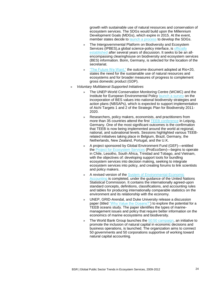growth with sustainable use of natural resources and conservation of ecosystem services. The SDGs would build upon the Millennium Development Goals (MDGs), which expire in 2015. At the event, member states decide to [launch a process](http://www.un.org/en/development/desa/news/sustainable/follow-up-to-rio20-and-launch-of-sd-knowledge-platform.html) to develop the SDGs.

- » The Intergovernmental Platform on Biodiversity and Ecosystem Services (IPBES),a global science-policy interface, is [officially](http://www.iisd.ca/download/pdf/enb16104e.pdf)  [established](http://www.iisd.ca/download/pdf/enb16104e.pdf) after several years of discussion. It seeks to be an allencompassing clearinghouse on biodiversity and ecosystem services (BES) information. Bonn, Germany, is selected for the location of the secretariat.
- » ["The Future We Want,"](http://www.uncsd2012.org/content/documents/727The%20Future%20We%20Want%2019%20June%201230pm.pdf) the outcome document adopted at Rio+20, states the need for the sustainable use of natural resources and ecosystems and for broader measures of progress to complement gross domestic product (GDP).
- » *Voluntary Multilateral-Supported Initiatives*
	- The UNEP-World Conservation Monitoring Centre (WCMC) and the Institute for European Environmental Policy [launch a survey](http://biodiversity-l.iisd.org/news/unep-wcmc-project-to-review-incorporation-of-biodiversity-values-into-nbsaps/) on the incorporation of BES values into national biodiversity strategies and action plans (NBSAPs), which is expected to support implementation of Aichi Targets 1 and 2 of the Strategic Plan for Biodiversity 2011- 2020.
	- » Researchers, policy makers, economists, and practitioners from more than 35 countries attend the first [TEEB conference](http://www.ufz.de/teeb-conference-2012/index.php?en=21742) in Leipzig, Germany. One of the most significant outcomes is the confirmation that TEEB is now being implemented around the world at regional, national, and subnational levels. Sessions highlighted various TEEBrelated initiatives taking place in Belgium, Brazil, Germany, the Netherlands, New Zealand, Portugal, and the U.K.
	- » A project sponsored by Global Environment Fund (GEF)—entitled the [Project for Ecosystem Services](http://www.cleanbiz.asia/news/vietnam-piloting-policy-making-based-ecosystem-services#.UNYKRLYXhxO) (ProEcoServ)—begins to operate in Chile, Lesotho, South Africa, Trinidad and Tobago, and Vietnam, with the objectives of: developing support tools for bundling ecosystem services into decision making, seeking to integrate ecosystem services into policy, and creating forums to link scientists and policy makers.
	- » A revised version of the [System of Environmental-Economic](https://unstats.un.org/unsd/envaccounting/White_cover.pdf)  [Accounting](https://unstats.un.org/unsd/envaccounting/White_cover.pdf) is completed, under the guidance of the United Nations Statistical Commission. It contains the internationally agreed-upon standard concepts, definitions, classifications, and accounting rules and tables for producing internationally comparable statistics on the environment and its relationship with the economy.
	- » UNEP, GRID-Arendal, and Duke University release a discussion paper (titled ["Why Value the Oceans?"\)](http://www.grida.no/_cms/OpenFile.aspx?s=1&id=1429) to explore the potential for a TEEB oceans study. The paper identifies the types of marinemanagement issues and policy that require better information on the economics of marine ecosystems and biodiversity.
	- The World Bank Group launches the [50:50 campaign,](http://www.wavespartnership.org/waves/building-support-natural-capital-accounting-%E2%80%93-what-can-governments-and-civil-society-do) an initiative to promote the inclusion of natural capital in economic decisions and business operations, is launched. The organization aims to connect 50 governments and 50 corporations supportive of working toward natural capital accounting.